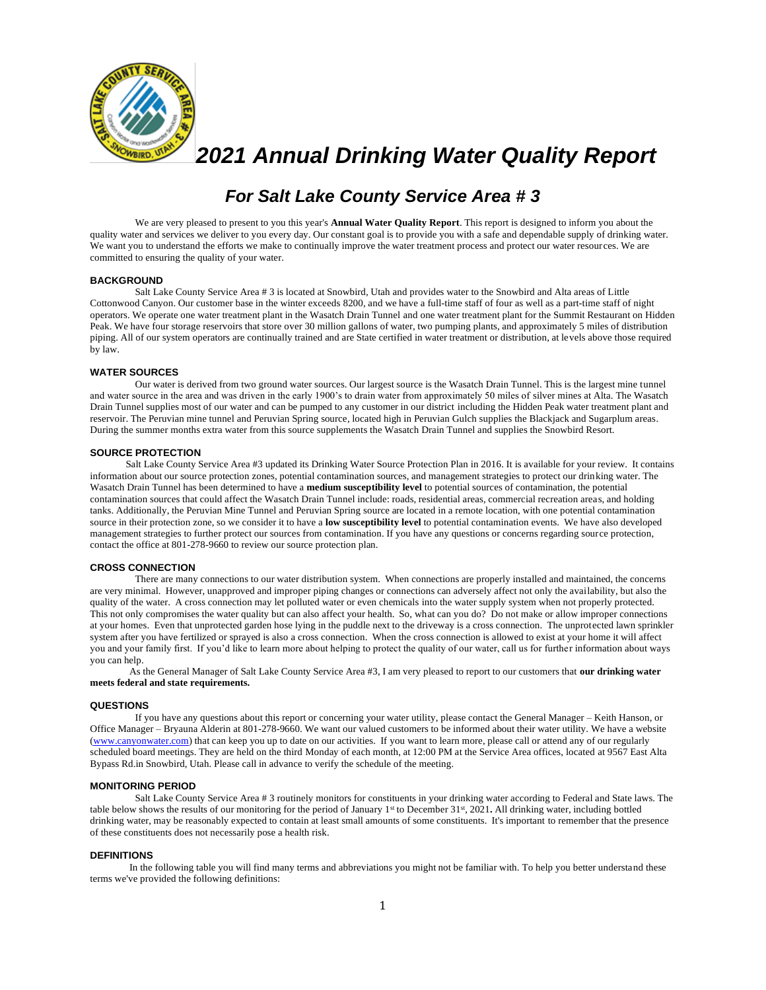

*2021 Annual Drinking Water Quality Report*

# *For Salt Lake County Service Area # 3*

We are very pleased to present to you this year's **Annual Water Quality Report**. This report is designed to inform you about the quality water and services we deliver to you every day. Our constant goal is to provide you with a safe and dependable supply of drinking water. We want you to understand the efforts we make to continually improve the water treatment process and protect our water resources. We are committed to ensuring the quality of your water.

## **BACKGROUND**

Salt Lake County Service Area # 3 is located at Snowbird, Utah and provides water to the Snowbird and Alta areas of Little Cottonwood Canyon. Our customer base in the winter exceeds 8200, and we have a full-time staff of four as well as a part-time staff of night operators. We operate one water treatment plant in the Wasatch Drain Tunnel and one water treatment plant for the Summit Restaurant on Hidden Peak. We have four storage reservoirs that store over 30 million gallons of water, two pumping plants, and approximately 5 miles of distribution piping. All of our system operators are continually trained and are State certified in water treatment or distribution, at levels above those required by law.

#### **WATER SOURCES**

Our water is derived from two ground water sources. Our largest source is the Wasatch Drain Tunnel. This is the largest mine tunnel and water source in the area and was driven in the early 1900's to drain water from approximately 50 miles of silver mines at Alta. The Wasatch Drain Tunnel supplies most of our water and can be pumped to any customer in our district including the Hidden Peak water treatment plant and reservoir. The Peruvian mine tunnel and Peruvian Spring source, located high in Peruvian Gulch supplies the Blackjack and Sugarplum areas. During the summer months extra water from this source supplements the Wasatch Drain Tunnel and supplies the Snowbird Resort.

## **SOURCE PROTECTION**

 Salt Lake County Service Area #3 updated its Drinking Water Source Protection Plan in 2016. It is available for your review. It contains information about our source protection zones, potential contamination sources, and management strategies to protect our drinking water. The Wasatch Drain Tunnel has been determined to have a **medium susceptibility level** to potential sources of contamination, the potential contamination sources that could affect the Wasatch Drain Tunnel include: roads, residential areas, commercial recreation areas, and holding tanks. Additionally, the Peruvian Mine Tunnel and Peruvian Spring source are located in a remote location, with one potential contamination source in their protection zone, so we consider it to have a **low susceptibility level** to potential contamination events. We have also developed management strategies to further protect our sources from contamination. If you have any questions or concerns regarding source protection, contact the office at 801-278-9660 to review our source protection plan.

## **CROSS CONNECTION**

There are many connections to our water distribution system. When connections are properly installed and maintained, the concerns are very minimal. However, unapproved and improper piping changes or connections can adversely affect not only the availability, but also the quality of the water. A cross connection may let polluted water or even chemicals into the water supply system when not properly protected. This not only compromises the water quality but can also affect your health. So, what can you do? Do not make or allow improper connections at your homes. Even that unprotected garden hose lying in the puddle next to the driveway is a cross connection. The unprotected lawn sprinkler system after you have fertilized or sprayed is also a cross connection. When the cross connection is allowed to exist at your home it will affect you and your family first. If you'd like to learn more about helping to protect the quality of our water, call us for further information about ways you can help.

As the General Manager of Salt Lake County Service Area #3, I am very pleased to report to our customers that **our drinking water meets federal and state requirements.**

#### **QUESTIONS**

If you have any questions about this report or concerning your water utility, please contact the General Manager – Keith Hanson, or Office Manager – Bryauna Alderin at 801-278-9660. We want our valued customers to be informed about their water utility. We have a website [\(www.canyonwater.com\)](http://www.canyonwater.com/) that can keep you up to date on our activities. If you want to learn more, please call or attend any of our regularly scheduled board meetings. They are held on the third Monday of each month, at 12:00 PM at the Service Area offices, located at 9567 East Alta Bypass Rd.in Snowbird, Utah. Please call in advance to verify the schedule of the meeting.

#### **MONITORING PERIOD**

Salt Lake County Service Area # 3 routinely monitors for constituents in your drinking water according to Federal and State laws. The table below shows the results of our monitoring for the period of January 1<sup>st</sup> to December 31<sup>st</sup>, 2021. All drinking water, including bottled drinking water, may be reasonably expected to contain at least small amounts of some constituents. It's important to remember that the presence of these constituents does not necessarily pose a health risk.

## **DEFINITIONS**

In the following table you will find many terms and abbreviations you might not be familiar with. To help you better understand these terms we've provided the following definitions: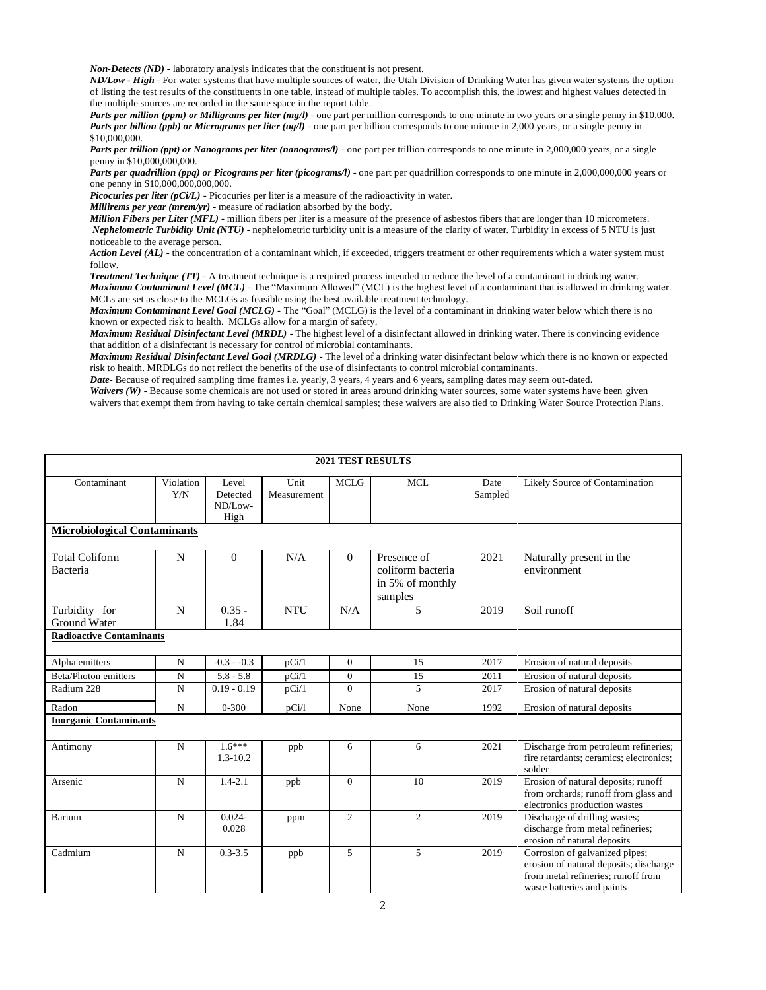*Non-Detects (ND)* - laboratory analysis indicates that the constituent is not present.

*ND/Low - High -* For water systems that have multiple sources of water, the Utah Division of Drinking Water has given water systems the option of listing the test results of the constituents in one table, instead of multiple tables. To accomplish this, the lowest and highest values detected in the multiple sources are recorded in the same space in the report table.

*Parts per million (ppm) or Milligrams per liter (mg/l)* - one part per million corresponds to one minute in two years or a single penny in \$10,000. *Parts per billion (ppb) or Micrograms per liter (ug/l)* - one part per billion corresponds to one minute in 2,000 years, or a single penny in \$10,000,000.

*Parts per trillion (ppt) or Nanograms per liter (nanograms/l)* - one part per trillion corresponds to one minute in 2,000,000 years, or a single penny in \$10,000,000,000.

*Parts per quadrillion (ppq) or Picograms per liter (picograms/l)* - one part per quadrillion corresponds to one minute in 2,000,000,000 years or one penny in \$10,000,000,000,000.

*Picocuries per liter (pCi/L)* - Picocuries per liter is a measure of the radioactivity in water.

*Millirems per year (mrem/yr)* - measure of radiation absorbed by the body.

*Million Fibers per Liter (MFL)* - million fibers per liter is a measure of the presence of asbestos fibers that are longer than 10 micrometers. *Nephelometric Turbidity Unit (NTU)* - nephelometric turbidity unit is a measure of the clarity of water. Turbidity in excess of 5 NTU is just noticeable to the average person.

Action Level (AL) - the concentration of a contaminant which, if exceeded, triggers treatment or other requirements which a water system must follow.

*Treatment Technique (TT)* - A treatment technique is a required process intended to reduce the level of a contaminant in drinking water. *Maximum Contaminant Level (MCL)* - The "Maximum Allowed" (MCL) is the highest level of a contaminant that is allowed in drinking water. MCLs are set as close to the MCLGs as feasible using the best available treatment technology.

*Maximum Contaminant Level Goal (MCLG)* - The "Goal" (MCLG) is the level of a contaminant in drinking water below which there is no known or expected risk to health. MCLGs allow for a margin of safety.

*Maximum Residual Disinfectant Level (MRDL)* - The highest level of a disinfectant allowed in drinking water. There is convincing evidence that addition of a disinfectant is necessary for control of microbial contaminants.

*Maximum Residual Disinfectant Level Goal (MRDLG)* - The level of a drinking water disinfectant below which there is no known or expected risk to health. MRDLGs do not reflect the benefits of the use of disinfectants to control microbial contaminants.

*Date*- Because of required sampling time frames i.e. yearly, 3 years, 4 years and 6 years, sampling dates may seem out-dated.

Waivers (W) - Because some chemicals are not used or stored in areas around drinking water sources, some water systems have been given waivers that exempt them from having to take certain chemical samples; these waivers are also tied to Drinking Water Source Protection Plans.

| <b>2021 TEST RESULTS</b>             |                  |                                      |                     |                |                                                                 |                 |                                                                                                                                              |  |
|--------------------------------------|------------------|--------------------------------------|---------------------|----------------|-----------------------------------------------------------------|-----------------|----------------------------------------------------------------------------------------------------------------------------------------------|--|
| Contaminant                          | Violation<br>Y/N | Level<br>Detected<br>ND/Low-<br>High | Unit<br>Measurement | <b>MCLG</b>    | <b>MCL</b>                                                      | Date<br>Sampled | Likely Source of Contamination                                                                                                               |  |
| <b>Microbiological Contaminants</b>  |                  |                                      |                     |                |                                                                 |                 |                                                                                                                                              |  |
| <b>Total Coliform</b><br>Bacteria    | N                | $\Omega$                             | N/A                 | $\theta$       | Presence of<br>coliform bacteria<br>in 5% of monthly<br>samples | 2021            | Naturally present in the<br>environment                                                                                                      |  |
| Turbidity for<br><b>Ground Water</b> | N                | $0.35 -$<br>1.84                     | <b>NTU</b>          | N/A            | 5                                                               | 2019            | Soil runoff                                                                                                                                  |  |
| <b>Radioactive Contaminants</b>      |                  |                                      |                     |                |                                                                 |                 |                                                                                                                                              |  |
| Alpha emitters                       | N                | $-0.3 - 0.3$                         | pCi/1               | $\mathbf{0}$   | 15                                                              | 2017            | Erosion of natural deposits                                                                                                                  |  |
| Beta/Photon emitters                 | ${\bf N}$        | $5.8 - 5.8$                          | pCi/1               | $\mathbf{0}$   | 15                                                              | 2011            | Erosion of natural deposits                                                                                                                  |  |
| Radium 228                           | $\mathbf N$      | $0.19 - 0.19$                        | pCi/1               | $\Omega$       | 5                                                               | 2017            | Erosion of natural deposits                                                                                                                  |  |
| Radon                                | N                | $0 - 300$                            | pCi/l               | None           | None                                                            | 1992            | Erosion of natural deposits                                                                                                                  |  |
| <b>Inorganic Contaminants</b>        |                  |                                      |                     |                |                                                                 |                 |                                                                                                                                              |  |
| Antimony                             | N                | $1.6***$<br>$1.3 - 10.2$             | ppb                 | 6              | 6                                                               | 2021            | Discharge from petroleum refineries;<br>fire retardants; ceramics; electronics;<br>solder                                                    |  |
| Arsenic                              | $\mathbf N$      | $1.4 - 2.1$                          | ppb                 | $\mathbf{0}$   | 10                                                              | 2019            | Erosion of natural deposits; runoff<br>from orchards; runoff from glass and<br>electronics production wastes                                 |  |
| Barium                               | N                | $0.024 -$<br>0.028                   | ppm                 | $\overline{2}$ | $\overline{2}$                                                  | 2019            | Discharge of drilling wastes;<br>discharge from metal refineries;<br>erosion of natural deposits                                             |  |
| Cadmium                              | $\mathbf N$      | $0.3 - 3.5$                          | ppb                 | 5              | 5                                                               | 2019            | Corrosion of galvanized pipes;<br>erosion of natural deposits; discharge<br>from metal refineries: runoff from<br>waste batteries and paints |  |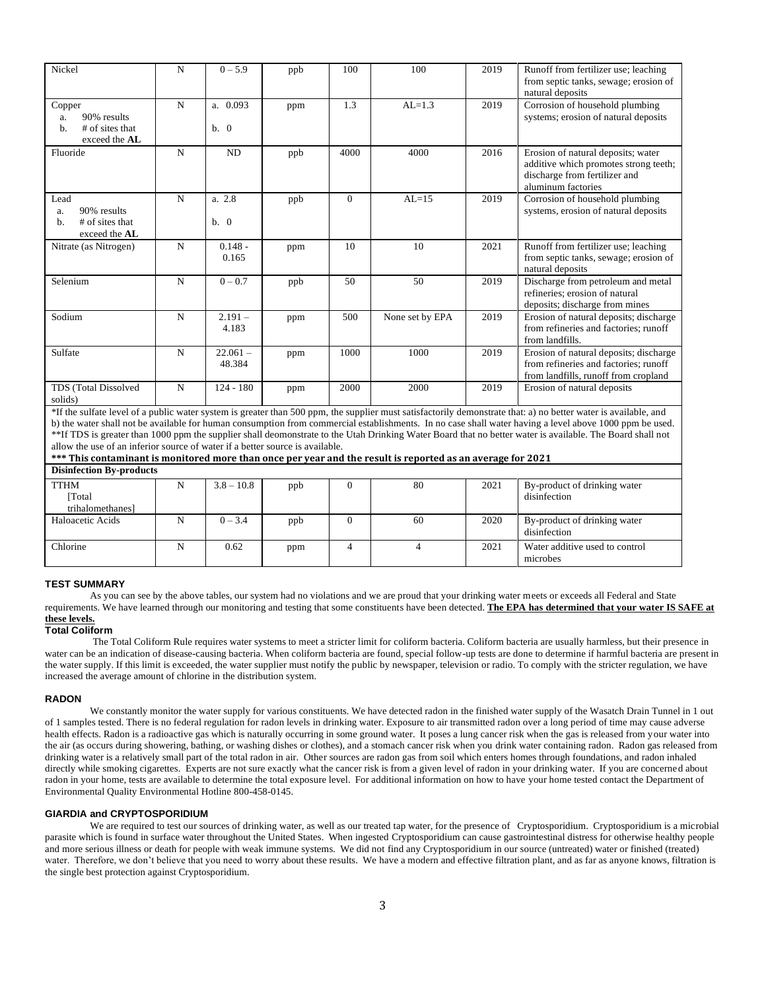| Nickel                                                                | N           | $0 - 5.9$            | ppb | 100      | 100             | 2019 | Runoff from fertilizer use; leaching<br>from septic tanks, sewage; erosion of<br>natural deposits                                                               |
|-----------------------------------------------------------------------|-------------|----------------------|-----|----------|-----------------|------|-----------------------------------------------------------------------------------------------------------------------------------------------------------------|
| Copper<br>90% results<br>a.<br># of sites that<br>b.<br>exceed the AL | N           | a. 0.093<br>b. 0     | ppm | 1.3      | $AL=1.3$        | 2019 | Corrosion of household plumbing<br>systems; erosion of natural deposits                                                                                         |
| Fluoride                                                              | N           | <b>ND</b>            | ppb | 4000     | 4000            | 2016 | Erosion of natural deposits; water<br>additive which promotes strong teeth;<br>discharge from fertilizer and<br>aluminum factories                              |
| Lead<br>90% results<br>a.<br># of sites that<br>b.<br>exceed the AL   | $\mathbf N$ | a. 2.8<br>b. 0       | ppb | $\Omega$ | $AL=15$         | 2019 | Corrosion of household plumbing<br>systems, erosion of natural deposits                                                                                         |
| Nitrate (as Nitrogen)                                                 | N           | $0.148 -$<br>0.165   | ppm | 10       | 10              | 2021 | Runoff from fertilizer use; leaching<br>from septic tanks, sewage; erosion of<br>natural deposits                                                               |
| Selenium                                                              | N           | $0 - 0.7$            | ppb | 50       | 50              | 2019 | Discharge from petroleum and metal<br>refineries; erosion of natural<br>deposits; discharge from mines                                                          |
| Sodium                                                                | $\mathbf N$ | $2.191 -$<br>4.183   | ppm | 500      | None set by EPA | 2019 | Erosion of natural deposits; discharge<br>from refineries and factories; runoff<br>from landfills.                                                              |
| Sulfate                                                               | N           | $22.061 -$<br>48.384 | ppm | 1000     | 1000            | 2019 | Erosion of natural deposits; discharge<br>from refineries and factories; runoff<br>from landfills, runoff from cropland                                         |
| TDS (Total Dissolved<br>solids)                                       | $\mathbf N$ | $124 - 180$          | ppm | 2000     | 2000            | 2019 | Erosion of natural deposits                                                                                                                                     |
|                                                                       |             |                      |     |          |                 |      | *If the sulfate level of a public water system is greater than 500 ppm, the supplier must satisfactorily demonstrate that: a) no better water is available, and |

b) the water shall not be available for human consumption from commercial establishments. In no case shall water having a level above 1000 ppm be used. \*\*If TDS is greater than 1000 ppm the supplier shall deomonstrate to the Utah Drinking Water Board that no better water is available. The Board shall not allow the use of an inferior source of water if a better source is available.

**\*\*\* This contaminant is monitored more than once per year and the result is reported as an average for 2021 Disinfection By-products**

| Disimediton Dy-products |   |              |     |  |    |      |                                |
|-------------------------|---|--------------|-----|--|----|------|--------------------------------|
| <b>TTHM</b>             | N | $3.8 - 10.8$ | ppb |  | 80 | 2021 | By-product of drinking water   |
| Total                   |   |              |     |  |    |      | disinfection                   |
| trihalomethanes]        |   |              |     |  |    |      |                                |
| Haloacetic Acids        | N | $0 - 3.4$    | ppb |  | 60 | 2020 | By-product of drinking water   |
|                         |   |              |     |  |    |      | disinfection                   |
| Chlorine                | N | 0.62         | ppm |  |    | 2021 | Water additive used to control |
|                         |   |              |     |  |    |      | microbes                       |

## **TEST SUMMARY**

As you can see by the above tables, our system had no violations and we are proud that your drinking water meets or exceeds all Federal and State requirements. We have learned through our monitoring and testing that some constituents have been detected. **The EPA has determined that your water IS SAFE at these levels.**

## **Total Coliform**

The Total Coliform Rule requires water systems to meet a stricter limit for coliform bacteria. Coliform bacteria are usually harmless, but their presence in water can be an indication of disease-causing bacteria. When coliform bacteria are found, special follow-up tests are done to determine if harmful bacteria are present in the water supply. If this limit is exceeded, the water supplier must notify the public by newspaper, television or radio. To comply with the stricter regulation, we have increased the average amount of chlorine in the distribution system.

#### **RADON**

We constantly monitor the water supply for various constituents. We have detected radon in the finished water supply of the Wasatch Drain Tunnel in 1 out of 1 samples tested. There is no federal regulation for radon levels in drinking water. Exposure to air transmitted radon over a long period of time may cause adverse health effects. Radon is a radioactive gas which is naturally occurring in some ground water. It poses a lung cancer risk when the gas is released from your water into the air (as occurs during showering, bathing, or washing dishes or clothes), and a stomach cancer risk when you drink water containing radon. Radon gas released from drinking water is a relatively small part of the total radon in air. Other sources are radon gas from soil which enters homes through foundations, and radon inhaled directly while smoking cigarettes. Experts are not sure exactly what the cancer risk is from a given level of radon in your drinking water. If you are concerned about radon in your home, tests are available to determine the total exposure level. For additional information on how to have your home tested contact the Department of Environmental Quality Environmental Hotline 800-458-0145.

## **GIARDIA and CRYPTOSPORIDIUM**

We are required to test our sources of drinking water, as well as our treated tap water, for the presence of Cryptosporidium. Cryptosporidium is a microbial parasite which is found in surface water throughout the United States. When ingested Cryptosporidium can cause gastrointestinal distress for otherwise healthy people and more serious illness or death for people with weak immune systems. We did not find any Cryptosporidium in our source (untreated) water or finished (treated) water. Therefore, we don't believe that you need to worry about these results. We have a modern and effective filtration plant, and as far as anyone knows, filtration is the single best protection against Cryptosporidium.